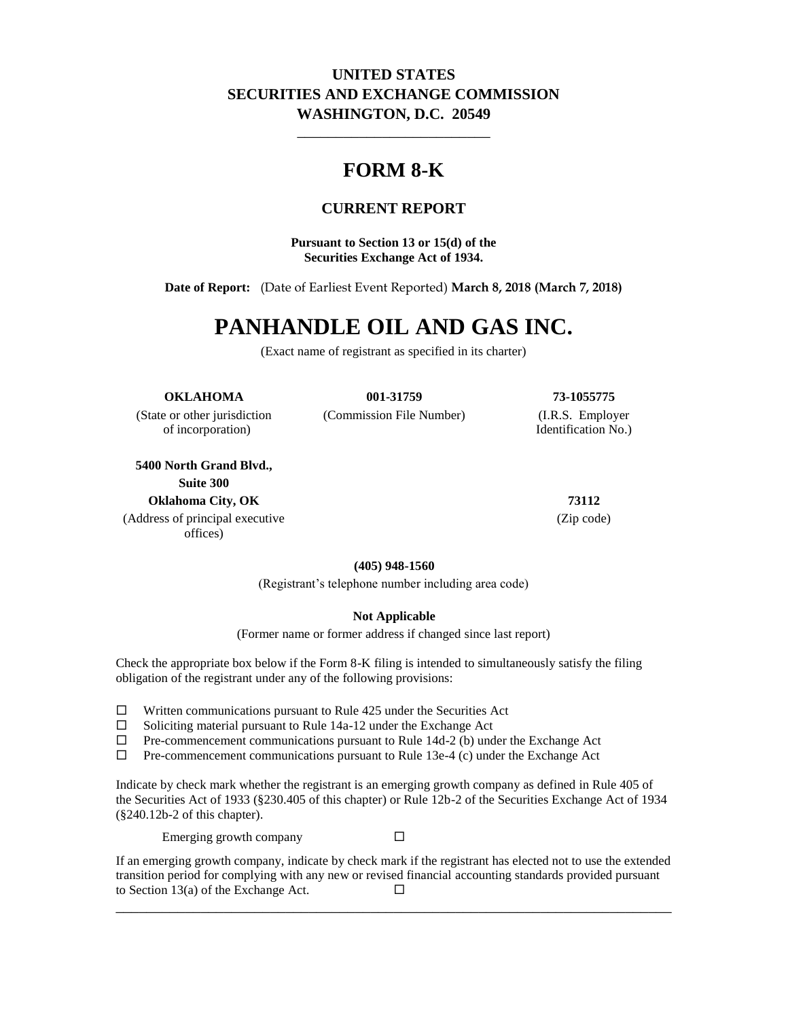## **UNITED STATES SECURITIES AND EXCHANGE COMMISSION WASHINGTON, D.C. 20549**

\_\_\_\_\_\_\_\_\_\_\_\_\_\_\_\_\_\_\_\_\_\_\_\_\_

## **FORM 8-K**

## **CURRENT REPORT**

**Pursuant to Section 13 or 15(d) of the Securities Exchange Act of 1934.**

**Date of Report:** (Date of Earliest Event Reported) **March 8, 2018 (March 7, 2018)**

# **PANHANDLE OIL AND GAS INC.**

(Exact name of registrant as specified in its charter)

**OKLAHOMA 001-31759 73-1055775**

of incorporation) Identification No.)

**5400 North Grand Blvd., Suite 300 Oklahoma City, OK 73112**

(Address of principal executive offices)

(State or other jurisdiction (Commission File Number) (I.R.S. Employer

(Zip code)

**(405) 948-1560**

(Registrant's telephone number including area code)

#### **Not Applicable**

(Former name or former address if changed since last report)

Check the appropriate box below if the Form 8-K filing is intended to simultaneously satisfy the filing obligation of the registrant under any of the following provisions:

- $\Box$  Written communications pursuant to Rule 425 under the Securities Act
- $\Box$  Soliciting material pursuant to Rule 14a-12 under the Exchange Act
- $\Box$  Pre-commencement communications pursuant to Rule 14d-2 (b) under the Exchange Act  $\Box$  Pre-commencement communications pursuant to Rule 13e-4 (c) under the Exchange Act
- Pre-commencement communications pursuant to Rule 13e-4 (c) under the Exchange Act

Indicate by check mark whether the registrant is an emerging growth company as defined in Rule 405 of the Securities Act of 1933 (§230.405 of this chapter) or Rule 12b-2 of the Securities Exchange Act of 1934 (§240.12b-2 of this chapter).

Emerging growth company  $\Box$ 

If an emerging growth company, indicate by check mark if the registrant has elected not to use the extended transition period for complying with any new or revised financial accounting standards provided pursuant to Section 13(a) of the Exchange Act.  $\Box$ 

\_\_\_\_\_\_\_\_\_\_\_\_\_\_\_\_\_\_\_\_\_\_\_\_\_\_\_\_\_\_\_\_\_\_\_\_\_\_\_\_\_\_\_\_\_\_\_\_\_\_\_\_\_\_\_\_\_\_\_\_\_\_\_\_\_\_\_\_\_\_\_\_